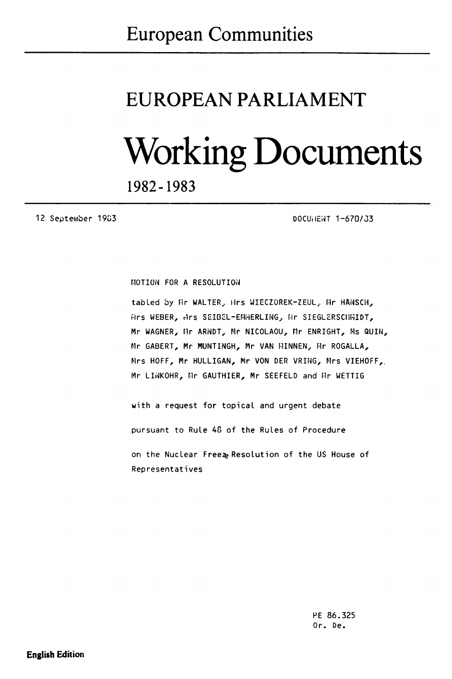## EUROPEAN PARLIAMENT

**Working Documents** 

1982-1983

12 September 1983

DOCUHENT 1-670/33

MOTION FOR A RESOLUTION

tabled by fir WALTER, Hrs WIECZOREK-ZEUL, Hr HANSCH, Mrs WEBER, Mrs SEIBEL-EMMERLING, Mr SIEGLERSCHMIDT, Mr WAGNER, Hr ARNDT, Mr NICOLAOU, Mr ENRIGHT, Ms QUIN, Mr GABERT, Mr MUNTINGH, Mr VAN HINNEN, Hr ROGALLA, Nrs HOFF, Mr HULLIGAN, Mr VON DER VRING, Mrs VIEHOFF, Mr LINKOHR, Nr GAUTHIER, Mr SEEFELD and Nr WETTIG

with a request for topical and urgent debate

pursuant to Rule 48 of the Rules of Procedure

on the Nuclear Freeze Resolution of the US House of Representatives

> PE 86.325 Or. De.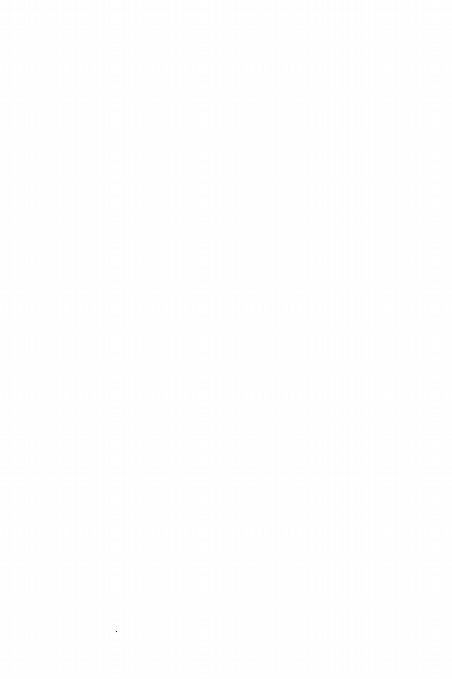$\sim 10^{11}$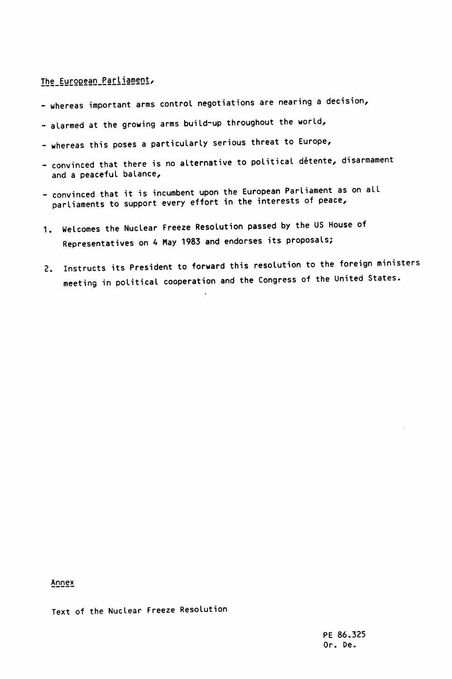## The European Parliament,

- whereas important arms control negotiations are nearing a decision,
- alarmed at the growing arms build-up throughout the world,
- whereas this poses a particularly serious threat to Europe,
- convinced that there is no alternative to political détente, disarmament and a peaceful balance,
- convinced that it is incumbent upon the European Parliament as on all parliaments to support every effort in the interests of peace,
- 1. Welcomes the Nuclear Freeze Resolution passed by the US House of Representatives on 4 May 1983 and endorses its proposals;
- 2. Instructs its President to forward this resolution to the foreign ministers meeting in political cooperation and the Congress of the United States.

Annex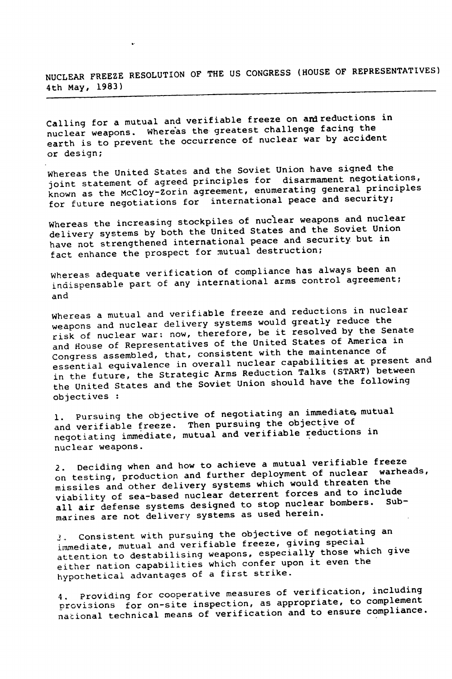NUCLEAR FREEZE RESOLUTION OF THE US CONGRESS (HOUSE OF REPRESENTATIVES) 4th May, 1983)

Calling for a mutual and verifiable freeze on and reductions in nuclear weapons. Whereas the greatest challenge facing the earth is to prevent the occurrence of nuclear war by accident or design;

Whereas the United States and the Soviet Union have signed the joint statement of agreed principles for disarmament negotiations, known as the McCloy-Zorin agreement, enumerating general principles for future negotiations for international peace and security;

Whereas the increasing stockpiles of nuclear weapons and nuclear delivery systems by both the United States and the Soviet Union have not strengthened international peace and security but in fact enhance the prospect for mutual destruction;

Whereas adequate verification of compliance has always been an indispensable part of any international arms control agreement; and

Whereas a mutual and verifiable freeze and reductions in nuclear weapons and nuclear delivery systems would greatly reduce the risk of nuclear war: now, therefore, be it resolved by the Senate and House of Representatives of the United States of America in Congress assembled, that, consistent with the maintenance of essential equivalence in overall nuclear capabilities at present and in the future, the Strategic Arms Reduction Talks (START) between the United States and the Soviet Union should have the following objectives :

Pursuing the objective of negotiating an immediate mutual 1. and verifiable freeze. Then pursuing the objective of negotiating immediate, mutual and verifiable reductions in nuclear weapons.

Deciding when and how to achieve a mutual verifiable freeze  $2.$ on testing, production and further deployment of nuclear warheads, missiles and other delivery systems which would threaten the viability of sea-based nuclear deterrent forces and to include all air defense systems designed to stop nuclear bombers. Submarines are not delivery systems as used herein.

3. Consistent with pursuing the objective of negotiating an immediate, mutual and verifiable freeze, giving special attention to destabilising weapons, especially those which give either nation capabilities which confer upon it even the hypothetical advantages of a first strike.

Providing for cooperative measures of verification, including provisions for on-site inspection, as appropriate, to complement national technical means of verification and to ensure compliance.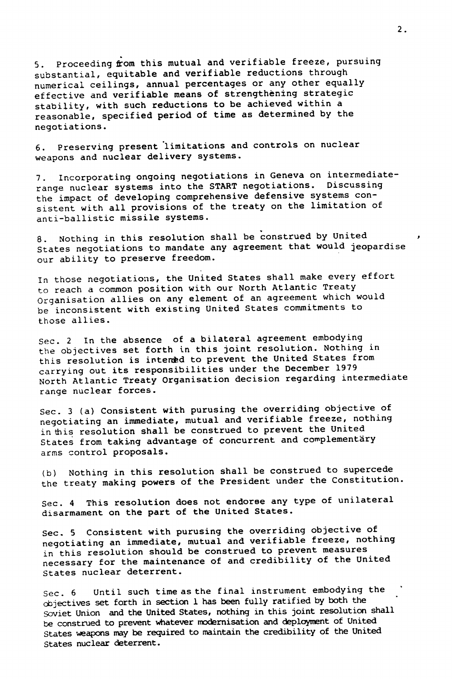5. Proceeding from this mutual and verifiable freeze, pursuing substantial, equitable and verifiable reductions through numerical ceilings, annual percentages or any other equally effective and verifiable means of strengthening strategic stability, with such reductions to be achieved within a reasonable, specified period of time as determined by the negotiations.

6. Preserving present limitations and controls on nuclear weapons and nuclear delivery systems.

Incorporating ongoing negotiations in Geneva on intermediate- $7.$ range nuclear systems into the START negotiations. Discussing the impact of developing comprehensive defensive systems consistent with all provisions of the treaty on the limitation of anti-ballistic missile systems.

Nothing in this resolution shall be construed by United 8. States negotiations to mandate any agreement that would jeopardise our ability to preserve freedom.

In those negotiations, the United States shall make every effort to reach a common position with our North Atlantic Treaty Organisation allies on any element of an agreement which would be inconsistent with existing United States commitments to those allies.

In the absence of a bilateral agreement embodying  $Sec. 2$ the objectives set forth in this joint resolution. Nothing in this resolution is intened to prevent the United States from carrying out its responsibilities under the December 1979 North Atlantic Treaty Organisation decision regarding intermediate range nuclear forces.

Sec. 3 (a) Consistent with purusing the overriding objective of negotiating an immediate, mutual and verifiable freeze, nothing in this resolution shall be construed to prevent the United States from taking advantage of concurrent and complementary arms control proposals.

Nothing in this resolution shall be construed to supercede  $(b)$ the treaty making powers of the President under the Constitution.

This resolution does not endorse any type of unilateral  $sec.4$ disarmament on the part of the United States.

Sec. 5 Consistent with purusing the overriding objective of negotiating an immediate, mutual and verifiable freeze, nothing in this resolution should be construed to prevent measures necessary for the maintenance of and credibility of the United States nuclear deterrent.

Until such time as the final instrument embodying the  $Sec.6$ objectives set forth in section 1 has been fully ratified by both the Soviet Union and the United States, nothing in this joint resolution shall be construed to prevent whatever modernisation and deployment of United States weapons may be required to maintain the credibility of the United States nuclear deterrent.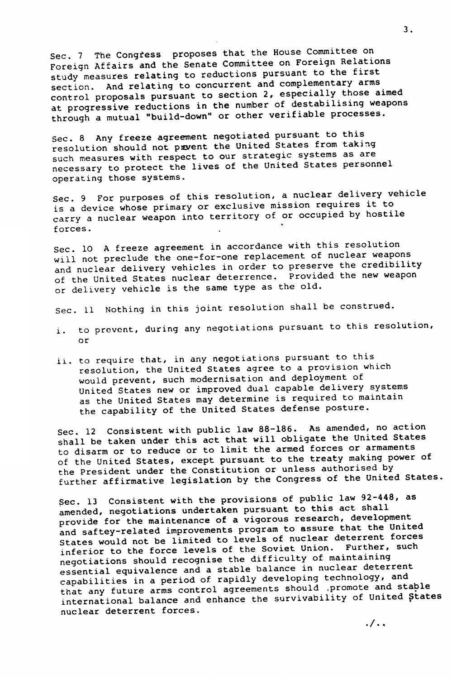Sec. 7 The Congress proposes that the House Committee on Foreign Affairs and the Senate Committee on Foreign Relations study measures relating to reductions pursuant to the first And relating to concurrent and complementary arms section. control proposals pursuant to section 2, especially those aimed at progressive reductions in the number of destabilising weapons through a mutual "build-down" or other verifiable processes.

Sec. 8 Any freeze agreement negotiated pursuant to this resolution should not prevent the United States from taking such measures with respect to our strategic systems as are necessary to protect the lives of the United States personnel operating those systems.

Sec. 9 For purposes of this resolution, a nuclear delivery vehicle is a device whose primary or exclusive mission requires it to carry a nuclear weapon into territory of or occupied by hostile forces.

Sec. 10 A freeze agreement in accordance with this resolution will not preclude the one-for-one replacement of nuclear weapons and nuclear delivery vehicles in order to preserve the credibility of the United States nuclear deterrence. Provided the new weapon or delivery vehicle is the same type as the old.

Sec. 11 Nothing in this joint resolution shall be construed.

- i. to prevent, during any negotiations pursuant to this resolution, or
- ii. to require that, in any negotiations pursuant to this resolution, the United States agree to a provision which would prevent, such modernisation and deployment of United States new or improved dual capable delivery systems as the United States may determine is required to maintain the capability of the United States defense posture.

Sec. 12 Consistent with public law 88-186. As amended, no action shall be taken under this act that will obligate the United States to disarm or to reduce or to limit the armed forces or armaments of the United States, except pursuant to the treaty making power of the President under the Constitution or unless authorised by further affirmative legislation by the Congress of the United States.

Sec. 13 Consistent with the provisions of public law 92-448, as amended, negotiations undertaken pursuant to this act shall provide for the maintenance of a vigorous research, development and saftey-related improvements program to assure that the United States would not be limited to levels of nuclear deterrent forces inferior to the force levels of the Soviet Union. Further, such negotiations should recognise the difficulty of maintaining essential equivalence and a stable balance in nuclear deterrent capabilities in a period of rapidly developing technology, and that any future arms control agreements should promote and stable international balance and enhance the survivability of United States nuclear deterrent forces.

 $\cdot/\cdot$